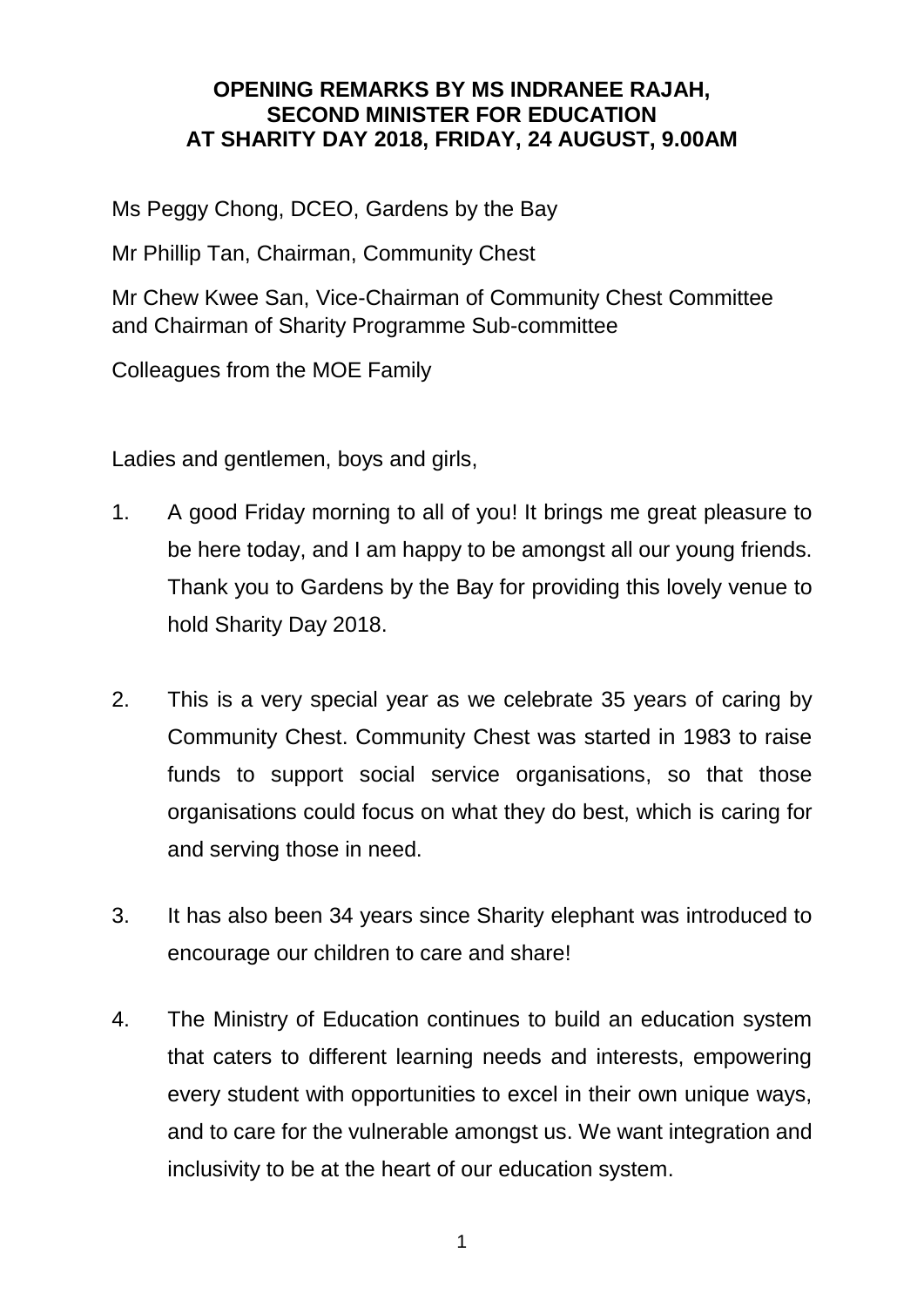## **OPENING REMARKS BY MS INDRANEE RAJAH, SECOND MINISTER FOR EDUCATION AT SHARITY DAY 2018, FRIDAY, 24 AUGUST, 9.00AM**

Ms Peggy Chong, DCEO, Gardens by the Bay

Mr Phillip Tan, Chairman, Community Chest

Mr Chew Kwee San, Vice-Chairman of Community Chest Committee and Chairman of Sharity Programme Sub-committee

Colleagues from the MOE Family

Ladies and gentlemen, boys and girls,

- 1. A good Friday morning to all of you! It brings me great pleasure to be here today, and I am happy to be amongst all our young friends. Thank you to Gardens by the Bay for providing this lovely venue to hold Sharity Day 2018.
- 2. This is a very special year as we celebrate 35 years of caring by Community Chest. Community Chest was started in 1983 to raise funds to support social service organisations, so that those organisations could focus on what they do best, which is caring for and serving those in need.
- 3. It has also been 34 years since Sharity elephant was introduced to encourage our children to care and share!
- 4. The Ministry of Education continues to build an education system that caters to different learning needs and interests, empowering every student with opportunities to excel in their own unique ways, and to care for the vulnerable amongst us. We want integration and inclusivity to be at the heart of our education system.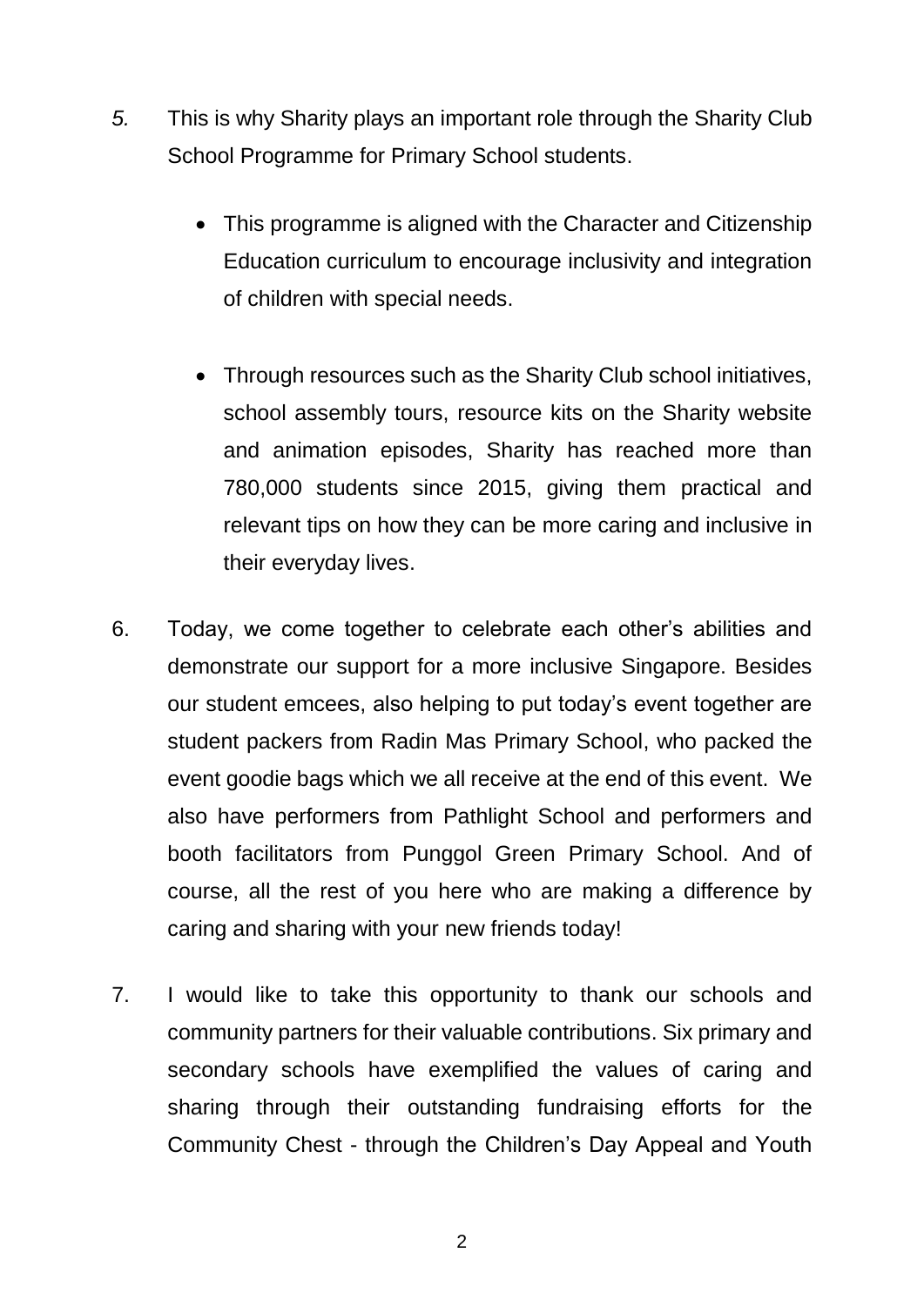- *5.* This is why Sharity plays an important role through the Sharity Club School Programme for Primary School students.
	- This programme is aligned with the Character and Citizenship Education curriculum to encourage inclusivity and integration of children with special needs.
	- Through resources such as the Sharity Club school initiatives, school assembly tours, resource kits on the Sharity website and animation episodes, Sharity has reached more than 780,000 students since 2015, giving them practical and relevant tips on how they can be more caring and inclusive in their everyday lives.
- 6. Today, we come together to celebrate each other's abilities and demonstrate our support for a more inclusive Singapore. Besides our student emcees, also helping to put today's event together are student packers from Radin Mas Primary School, who packed the event goodie bags which we all receive at the end of this event. We also have performers from Pathlight School and performers and booth facilitators from Punggol Green Primary School. And of course, all the rest of you here who are making a difference by caring and sharing with your new friends today!
- 7. I would like to take this opportunity to thank our schools and community partners for their valuable contributions. Six primary and secondary schools have exemplified the values of caring and sharing through their outstanding fundraising efforts for the Community Chest - through the Children's Day Appeal and Youth

2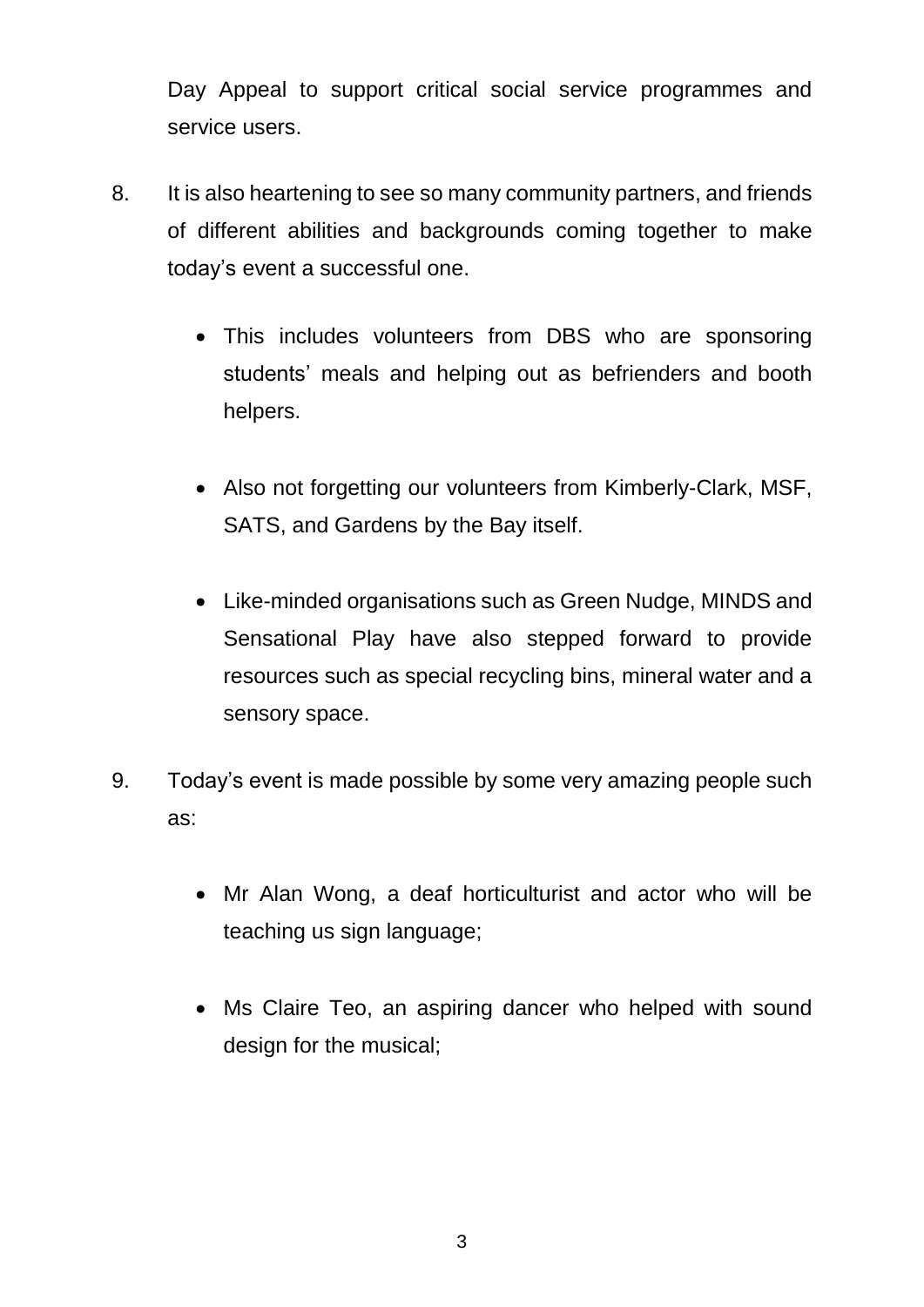Day Appeal to support critical social service programmes and service users.

- 8. It is also heartening to see so many community partners, and friends of different abilities and backgrounds coming together to make today's event a successful one.
	- This includes volunteers from DBS who are sponsoring students' meals and helping out as befrienders and booth helpers.
	- Also not forgetting our volunteers from Kimberly-Clark, MSF, SATS, and Gardens by the Bay itself.
	- Like-minded organisations such as Green Nudge, MINDS and Sensational Play have also stepped forward to provide resources such as special recycling bins, mineral water and a sensory space.
- 9. Today's event is made possible by some very amazing people such as:
	- Mr Alan Wong, a deaf horticulturist and actor who will be teaching us sign language;
	- Ms Claire Teo, an aspiring dancer who helped with sound design for the musical;